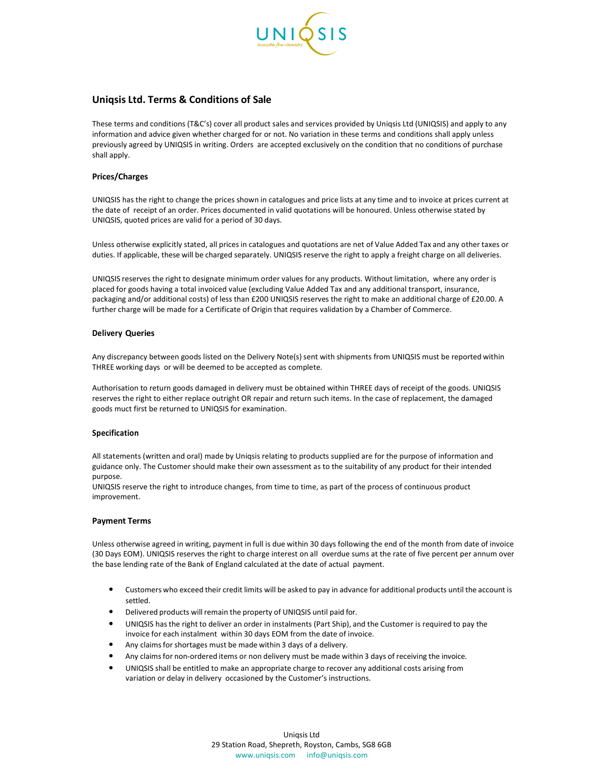

# **Uniqsis Ltd. Terms & Conditions of Sale**

These terms and conditions (T&C's) cover all product sales and services provided by Uniqsis Ltd (UNIQSIS) and apply to any information and advice given whether charged for or not. No variation in these terms and conditions shall apply unless previously agreed by UNIQSIS in writing. Orders are accepted exclusively on the condition that no conditions of purchase shall apply.

# **Prices/Charges**

UNIQSIS has the right to change the prices shown in catalogues and price lists at any time and to invoice at prices current at the date of receipt of an order. Prices documented in valid quotations will be honoured. Unless otherwise stated by UNIQSIS, quoted prices are valid for a period of 30 days.

Unless otherwise explicitly stated, all prices in catalogues and quotations are net of Value Added Tax and any other taxes or duties. If applicable, these will be charged separately. UNIQSIS reserve the right to apply a freight charge on all deliveries.

UNIQSIS reserves the right to designate minimum order values for any products. Without limitation, where any order is placed for goods having a total invoiced value (excluding Value Added Tax and any additional transport, insurance, packaging and/or additional costs) of less than £200 UNIQSIS reserves the right to make an additional charge of £20.00. A further charge will be made for a Certificate of Origin that requires validation by a Chamber of Commerce.

# **Delivery Queries**

Any discrepancy between goods listed on the Delivery Note(s) sent with shipments from UNIQSIS must be reported within THREE working days or will be deemed to be accepted as complete.

Authorisation to return goods damaged in delivery must be obtained within THREE days of receipt of the goods. UNIQSIS reserves the right to either replace outright OR repair and return such items. In the case of replacement, the damaged goods muct first be returned to UNIQSIS for examination.

# **Specification**

All statements (written and oral) made by Uniqsis relating to products supplied are for the purpose of information and guidance only. The Customer should make their own assessment as to the suitability of any product for their intended purpose.

UNIQSIS reserve the right to introduce changes, from time to time, as part of the process of continuous product improvement.

# **Payment Terms**

Unless otherwise agreed in writing, payment in full is due within 30 days following the end of the month from date of invoice (30 Days EOM). UNIQSIS reserves the right to charge interest on all overdue sums at the rate of five percent per annum over the base lending rate of the Bank of England calculated at the date of actual payment.

- Customers who exceed their credit limits will be asked to pay in advance for additional products until the account is settled.
- Delivered products will remain the property of UNIQSIS until paid for.
- UNIQSIS has the right to deliver an order in instalments (Part Ship), and the Customer is required to pay the invoice for each instalment within 30 days EOM from the date of invoice.
- Any claims for shortages must be made within 3 days of a delivery.
- Any claims for non-ordered items or non delivery must be made within 3 days of receiving the invoice.
- UNIQSIS shall be entitled to make an appropriate charge to recover any additional costs arising from variation or delay in delivery occasioned by the Customer's instructions.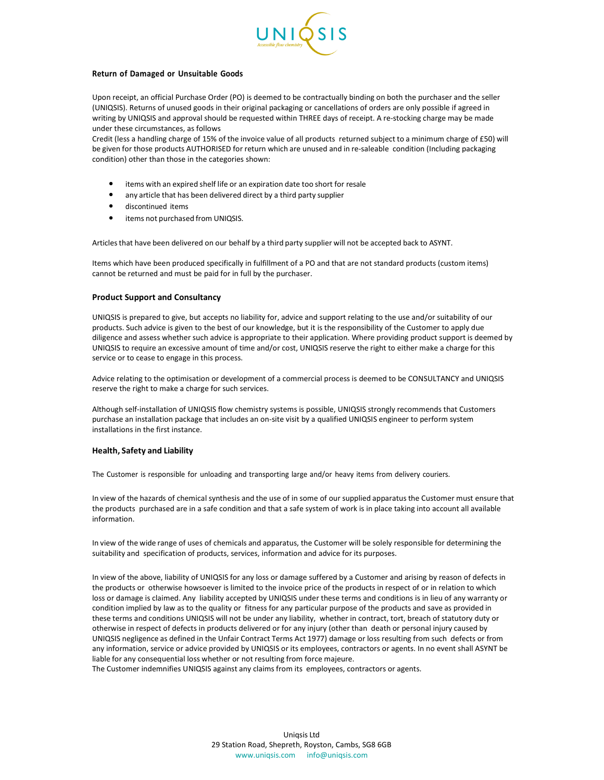

### **Return of Damaged or Unsuitable Goods**

Upon receipt, an official Purchase Order (PO) is deemed to be contractually binding on both the purchaser and the seller (UNIQSIS). Returns of unused goods in their original packaging or cancellations of orders are only possible if agreed in writing by UNIQSIS and approval should be requested within THREE days of receipt. A re-stocking charge may be made under these circumstances, as follows

Credit (less a handling charge of 15% of the invoice value of all products returned subject to a minimum charge of £50) will be given for those products AUTHORISED for return which are unused and in re-saleable condition (Including packaging condition) other than those in the categories shown:

- items with an expired shelf life or an expiration date too short for resale
- any article that has been delivered direct by a third party supplier
- discontinued items
- items not purchased from UNIQSIS.

Articles that have been delivered on our behalf by a third party supplier will not be accepted back to ASYNT.

Items which have been produced specifically in fulfillment of a PO and that are not standard products (custom items) cannot be returned and must be paid for in full by the purchaser.

### **Product Support and Consultancy**

UNIQSIS is prepared to give, but accepts no liability for, advice and support relating to the use and/or suitability of our products. Such advice is given to the best of our knowledge, but it is the responsibility of the Customer to apply due diligence and assess whether such advice is appropriate to their application. Where providing product support is deemed by UNIQSIS to require an excessive amount of time and/or cost, UNIQSIS reserve the right to either make a charge for this service or to cease to engage in this process.

Advice relating to the optimisation or development of a commercial process is deemed to be CONSULTANCY and UNIQSIS reserve the right to make a charge for such services.

Although self-installation of UNIQSIS flow chemistry systems is possible, UNIQSIS strongly recommends that Customers purchase an installation package that includes an on-site visit by a qualified UNIQSIS engineer to perform system installations in the first instance.

#### **Health, Safety and Liability**

The Customer is responsible for unloading and transporting large and/or heavy items from delivery couriers.

In view of the hazards of chemical synthesis and the use of in some of our supplied apparatus the Customer must ensure that the products purchased are in a safe condition and that a safe system of work is in place taking into account all available information.

In view of the wide range of uses of chemicals and apparatus, the Customer will be solely responsible for determining the suitability and specification of products, services, information and advice for its purposes.

In view of the above, liability of UNIQSIS for any loss or damage suffered by a Customer and arising by reason of defects in the products or otherwise howsoever is limited to the invoice price of the products in respect of or in relation to which loss or damage is claimed. Any liability accepted by UNIQSIS under these terms and conditions is in lieu of any warranty or condition implied by law as to the quality or fitness for any particular purpose of the products and save as provided in these terms and conditions UNIQSIS will not be under any liability, whether in contract, tort, breach of statutory duty or otherwise in respect of defects in products delivered or for any injury (other than death or personal injury caused by UNIQSIS negligence as defined in the Unfair Contract Terms Act 1977) damage or loss resulting from such defects or from any information, service or advice provided by UNIQSIS or its employees, contractors or agents. In no event shall ASYNT be liable for any consequential loss whether or not resulting from force majeure.

The Customer indemnifies UNIQSIS against any claims from its employees, contractors or agents.